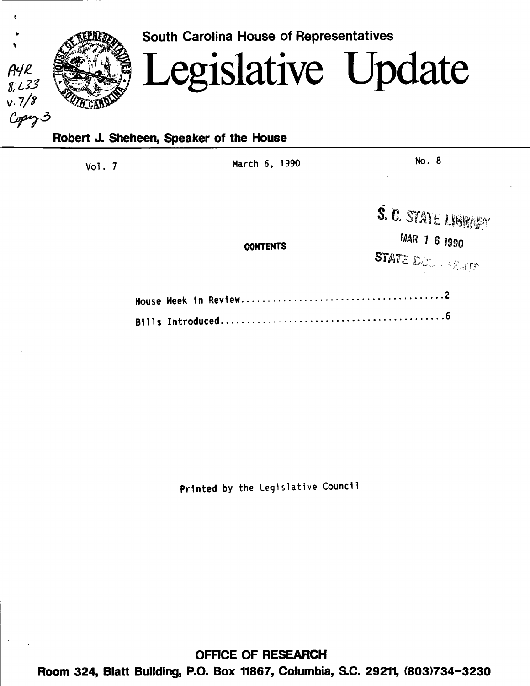

Vol. 7 March 6, 1990 No. 8

**CONTENTS** 

S. C. STATE LIBRARY

MAR 1 6 1990

STATE DOOD PARTS

Printed by the Legislative Counc11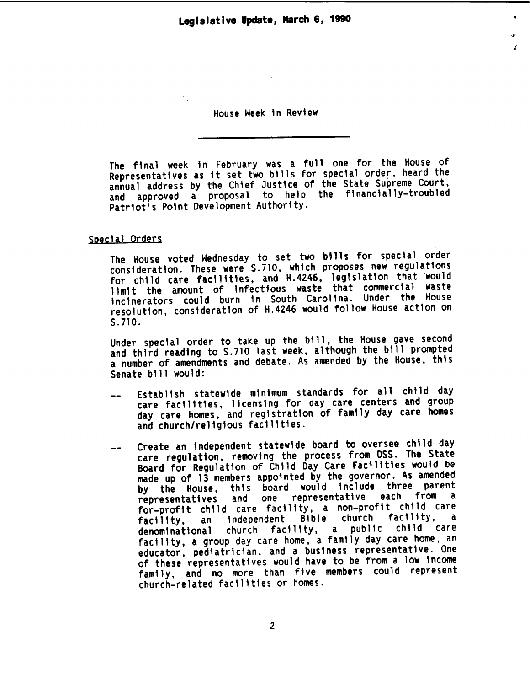.. I

House Heek in Review

 $\bullet$  .

The final week in February was a full one for the House of Representatives as it set two bills for special order, heard the annual address by the Chief Justice of the State Supreme Court, and approved a proposal to help the financially-troubled Patriot's Po1nt Development Authority.

### Special Orders

The House voted Wednesday to set two bills for special order<br>consideration. These were S.710, which proposes new regulations for child care facilities, and H. 4246, legislation that would limit the amount of infectfous waste that commercial waste incinerators could burn in South Carolina. Under the House resolution, consideration of H.4246 would follow House action on S.710.

Under special order to take up the bill, the House gave second and third reading to S.710 last week, although the bill prompted a number of amendments and debate. As amended by the House, this Senate bill would:

- Establish statewide minimum standards for all child day care facilities, licensing for day care centers and group<br>day care homes, and registration of family day care homes and church/religious facilities.
- Create an independent statewide board to oversee child day care regulation, removing the process from DSS. The State Board for Regulation of Child Day Care Facilities would be made up of 13 members appointed by the governor. As amended by the House, this board would include three parent<br>representatives and one representative each from a representatives and one representative for-profit child care facility, a non-profit child care facility, an independent Bible church facility, a denominational church facility, a public child care facility, a group day care home, a family day care home, an educator, pediatrician, and a business representative. One of these representatives would have to be from a low income family, and no more than five members could represent church-related facilities or homes.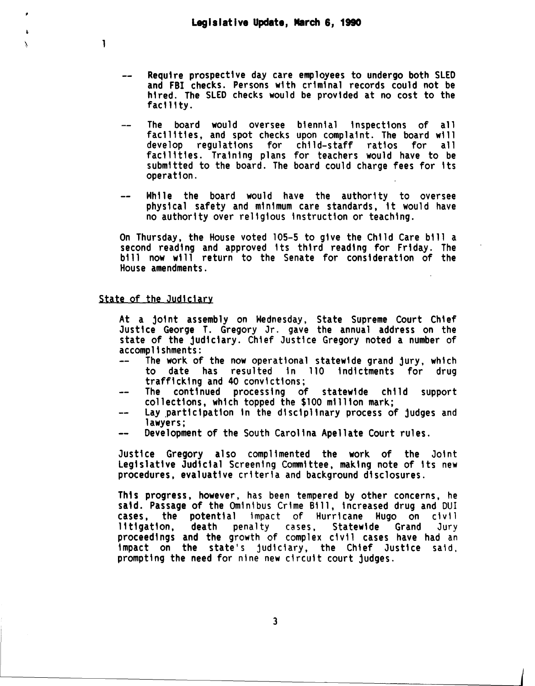- Require prospective day care employees to undergo both SLED and FBI checks. Persons with criminal records could not be hired. The SLED checks would be provided at no cost to the facility.
- The board would oversee biennial inspections of all facilities, and spot checks upon complaint. The board will<br>develop regulations for child-staff ratios for all develop regulations for child-staff ratios for facilities. Training plans for teachers would have to be submitted to the board. The board could charge fees for its operation.
- While the board would have the authority to oversee physical safety and minimum care standards, 1t would have no authority over religious instruction or teaching.

On Thursday, the House voted 105-5 to give the Child Care bill a second reading and approved its third reading for Friday. The bill now will return to the Senate for consideration of the House amendments.

# State of the Judiciary

1

λ

At a joint assembly on Wednesday, State Supreme Court Ch\ef Justice George T. Gregory Jr. gave the annual address on the state of the judiciary. Chief Justice Gregory noted a number of<br>accomplishments:

- The work of the now operational statewide grand jury, which<br>to date has resulted in 110 indictments for drug to date has resulted in 110 indictments for drug trafficking and 40 convictions;
- collections, which topped the \$100 million mark;
- Lay participation in the disciplinary process of judges and  $$ lawyers;
- Development of the South Carolina Apellate Court rules.

Justice Gregory also complimented the work of the Joint Legislative Judicial Screening Committee, making note of its new procedures, evaluative criteria and background disclosures.

Th1s progress, however, has been tempered by other concerns, he said. Passage of the Ominibus Crime Bill, increased drug and DUI cases, the potential impact of Hurricane Hugo on civil 11t1gation, death penalty cases, Statewide Grand Jury proceedings and the growth of complex civil cases have had an impact on the state's judiciary, the Chief Justice said, prompting the need for nine new circuit court judges.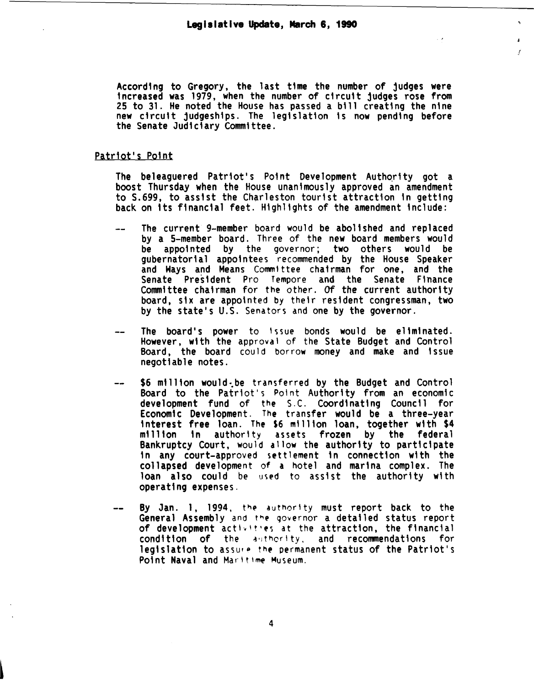According to Gregory, the last time the number of judges were increased was 1979, when the number of circuit judges rose from 25 to 31. He noted the House has passed a bill creating the nine new circuit judgeships. The legislation is now pending before the Senate Judiciary Committee.

 $\sim$ 

 $\mathcal{L}$ 

#### Patriot's Point

The beleaguered Patriot's Point Development Authority got a boost Thursday when the House unanimously approved an amendment to S.699, to assist the Charleston tourist attraction tn getting back on its financial feet. Highlights of the amendment include:

- The current 9-member board would be abolished and replaced by a 5-member board. Three of the new board members would be appointed by the governor; two others would be gubernatorial appointees recommended by the House Speaker<br>and Ways and Means Committee chairman for one, and the Senate President Pro Tempore and the Senate Finance<br>Committee chairman for the other. Of the current authority board, six are appointed by their resident congressman. two by the state's U.S. Senators and one by the governor.
- The board's power to 1ssue bonds would be eliminated. However, with the approval of the State Budget and Control Board, the board could borrow money and make and issue negotiable notes.
- \$6 million would be transferred by the Budget and Control Board to the Patriot's Point Authority from an economic development fund of the S.C. Coordinating Council for<br>Economic Development. The transfer would be a three-year Interest free loan. The \$6 million loan, together with \$4<br>million in authority assets frozen by the federal million in authority assets frozen by the federal Bankruptcy Court, would allow the authority to participate<br>in any court-approved settlement in connection with the collapsed development of a hotel and marina complex. The loan also could be used to assist the authority with operat1ng expenses.
- By Jan. 1, 1994, the authority must report back to the General Assembly and the governor a detailed status report of development activities at the attraction, the financial condition of the authority, and recommendations for legislation to assure the permanent status of the Patriot's Point Naval and Maritime Museum.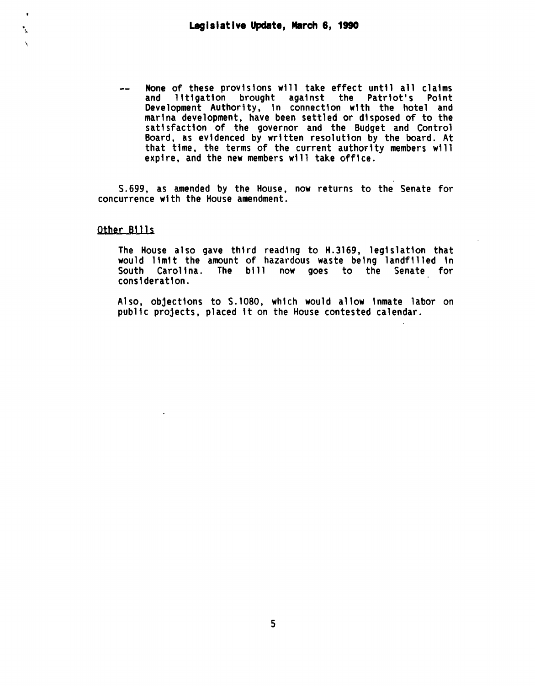None of these provisions will take effect until all claims<br>and litigation brought against the Patriot's Point  $-$ and litigation brought against the Patriot's Point Development Authority, 1n connection with the hotel and marina development, have been settled or disposed of to the satisfaction of the governor and the Budget and Control Board, as evidenced by written resolution by the board. At that time, the terms of the current authority members will expire, and the new members will take office.

S. 699, as amended by the House, now returns to the Senate for concurrence with the House amendment.

# Other Bills

. ..

The House also gave third reading to H.3169, legislation that would limit the amount of hazardous waste being landfilled in South Carolina. The bill now goes to the Senate for consideration.

Also, objections to S.1080, which would allow inmate labor on public projects, placed it on the House contested calendar.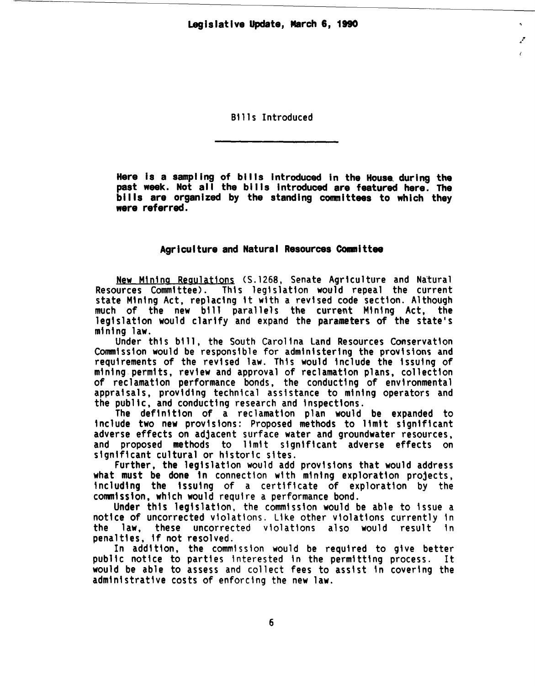$\mathcal{F}$ 

Bills Introduced

Here Is a sampling of bills Introduced In the House. during the past week. Not all the bills introduced are featured here. The bills are organized by the standing committees to which they were referred.

# Agriculture and Natural Resources Committee

New Mining Regulations (S.1268, Senate Agriculture and Natural Resources Committee). This legislation would repeal the current state Mining Act, replacing it with a revised code section. Although much of the new bill parallels the current Mining Act, the legislation would clarify and expand the parameters of the state's mining law.

Under this bi 11, the South Carolina Land Resources Conservation Commission would be responsible for administering the provisions and requirements of the revised law. This would include the issuing of mining permits, review and approval of reclamation plans, collection of reclamation performance bonds, the conducting of environmental appraisals, providing technical assistance to mining operators and the public, and conducting research and inspections.

The definition of a reclamation plan would be expanded to include two new provisions: Proposed methods to 11mit significant adverse effects on adjacent surface water and groundwater resources, and proposed methods to limit significant adverse effects on significant cultural or historic sites.

Further, the legislation would add provisions that would address<br>what must be done in connection with mining exploration projects. including the issuing of a certificate of exploration by the commission, which would require a performance bond.

Under this legislation, the commission would be able to issue a notice of uncorrected violations. Like other violations currently in the law. these uncorrected violations also would result in the law, these uncorrected violations also would result penalties, if not resolved.

In addition, the commission would be required to give better public notice to parties interested in the permitting process. It would be able to assess and collect fees to assist in covering the administrative costs of enforcing the new law.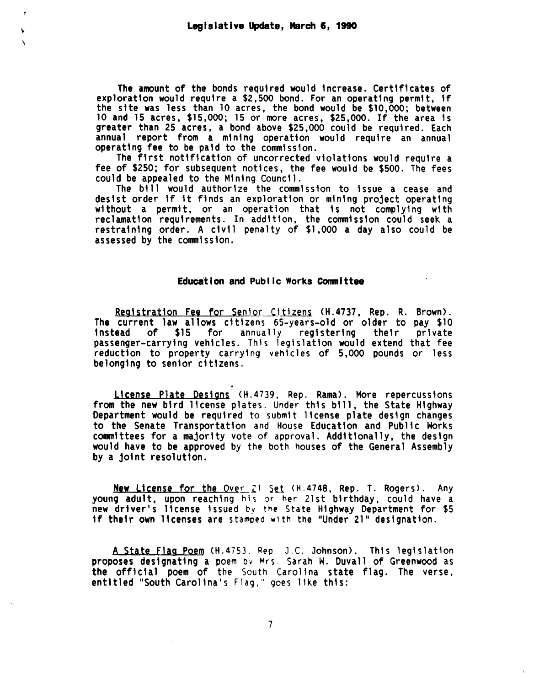The amount of the bonds required would increase. Certificates of exploration would require a \$2,500 bond. For an operating permit, if the site was less than 10 acres, the bond would be \$10,000; between 10 and 15 acres, \$15,000; 15 or more acres, \$25,000. If the area is greater than 25 acres, a bond above \$25,000 could be required. Each annual report from a mining operation would require an annual operating fee to be paid to the commission.

The first notification of uncorrected violations would require a fee of \$250; for subsequent notices, the fee would be \$500. The fees could be appealed to the Mining Council.

The bill would authorize the commission to issue a cease and desist order if it finds an exploration or mining project operating<br>without a permit, or an operation that is not complying with reclamation requirements. In addition, the commission could seek a restraining order. A civil penalty of \$1,000 a day also could be assessed by the commission.

#### Education and Public Works Committee

Registration Fee for Senior Citizens (H.4737, Rep. R. Brown). The current law allows citizens 65-years-old or older to pay \$10 instead of \$15 for annually registering their private passenger-carrying vehicles. Thls legislation would extend that fee reduction to property carrying vehicles of 5,000 pounds or less belonging to senior citizens.

License Plate Designs <H.4739. Rep. Rama>. More repercussions from the new bird license plates. Under this bill, the State Highway Department would be required to submit license plate design changes to the Senate Transportation and House Education and Public Horks would have to be approved by the both houses of the General Assembly.<br>by a joint resolution.

New License for the Over 21 Set (H.4748, Rep. T. Rogers). Any young adult, upon reaching his or her 21st birthday, could have a new driver's license issued by the State Highway Department for \$5 if their own licenses are stamped with the "Under 21" designation.

A State Flag Poem <H.4753. Rep. J.C. Johnson>. This legislation proposes designating a poem bv Mrs. Sarah W. Duvall of Greenwood as the official poem of the South Carolina state flag. The verse, entitled "South Carolina's Flag," goes like this: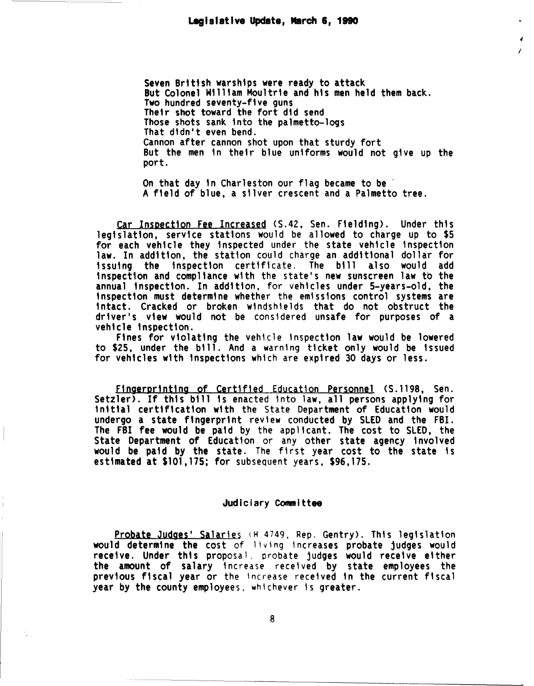Seven British warships were ready to attack But Colonel William Moultrie and his men held them back.<br>Two hundred seventy-five guns Their shot toward the fort did send Those shots sank 1nto the palmetto-logs That dtdn't even bend. Cannon after cannon shot upon that sturdy fort But the men in their blue uniforms would not give up the port.

I

On that day in Charleston our flag became to be A field of blue, a silver crescent and a Palmetto tree.

Car Inspection Fee Increased (S.42, Sen. Fielding). Under this legislation, service stations would be allowed to charge up to \$5 for each vehicle they inspected under the state vehicle inspection law. In addition, the station could charge an additional dollar for issuing the inspection cert1ftcate. The bill also would add inspection and compliance wtth the state's new sunscreen law to the annual inspection. In addition. for vehtcles under 5-years-old, the inspection must determine whether the emtssions control systems are intact. Cracked or broken windshtelds that do not obstruct the driver's view would not be considered unsafe for purposes of a

vehicle inspection. Fines for violating the vehtcle tnspectton law would be lowered to \$25, under the bill. And a warntng ticket only would be issued for vehicles with inspections whtch are expired 30 days or less.

Fingerprinting of Certified Education Personnel (S.1198, Sen. Setzler). If this bill is enacted into law, all persons applying for initial certification wtth the State Department of Education would undergo a state fingerprint review conducted by SLED and the FBI. The FBI fee would be paid by the applicant. The cost to SLED, the State Department of Education or any other state agency involved would be paid by the state. The first year cost to the state is estimated at \$101,175; for subsequent years. \$96,175.

### Judiciary Committee

Probate Judges' Salaries (H.4749, Rep. Gentry). This legislation would determine the cost of living increases probate judges would receive. Under this proposal, probate judges would receive either the amount of salary increase recetved by state employees the previous fiscal year or the increase received in the current fiscal year by the county employees. whichever ts greater.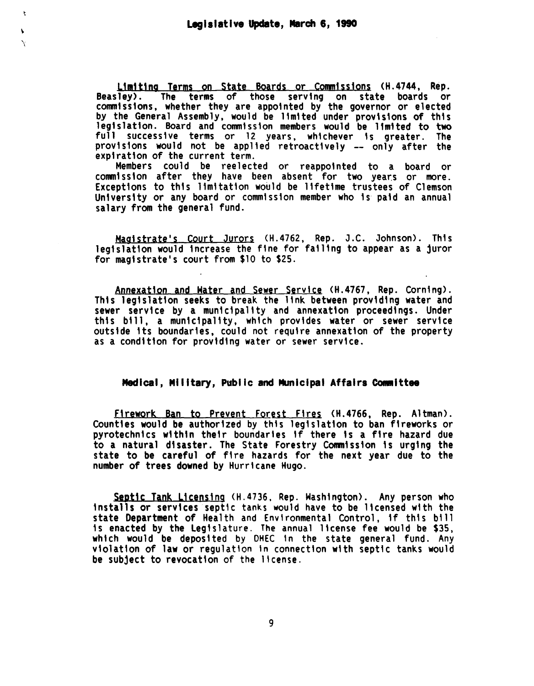$\mathbf{r}$ 

Ń

L1m1t1ng Terms on State Boards or eomm1ss1ons (H.4744, Rep. Beasley>. The terms of those serving on state boards or commissions, whether they are appointed by the governor or elected by the General Assembly, would be limited under provisions of this leg1slatton. Board and commission members would be 11mtted to two full successive terms or 12 years, whichever is greater. The provisions would not be applied retroactively -- only after the exptratton of the current term.

Members could be reelected or reappointed to a board or commission after they have been absent for two year.s or more. Exceptions to this limitation would be lifetime trustees of Clemson University or any board or commission member who is paid an annual salary from the general fund.

Magistrate's Court Jurors (H.4762, Rep. J.C. Johnson). This legislation would increase the fine for failing to appear as a juror for magistrate's court from \$10 to \$25.

Annexation and Hater and Sewer Service <H.4767, Rep. Corning>. This legislation seeks to break the link between providing water and sewer service by a municipality and annexation proceedings. Under this bill, a municipality, which provides water or sewer service outside its boundaries, could not require annexation of the property as a condition for providing water or sewer service.

# Medical, Military, Public and Municipal Affairs Committee

Firework Ban to Prevent Forest Fires <H.4766, Rep. Altman>. Counties would be authorized by this legislation to ban fireworks or pyrotechnics within their boundaries if there is a fire hazard due to a natural disaster. The State Forestry Commission is urging the state to be careful of fire hazards for the next year due to the number of trees downed by Hurricane Hugo.

Septic Tank Licensing (H.4736, Rep. Washington). Any person who installs or services septic tanks would have to be licensed with the state Department of Health and Environmental Control, if this bill is enacted by the Legislature. The annual license fee would be \$35,<br>which would be deposited by DHEC in the state general fund. Any violation of law or regulation in connection with septic tanks would. be subject to revocation of the license.

9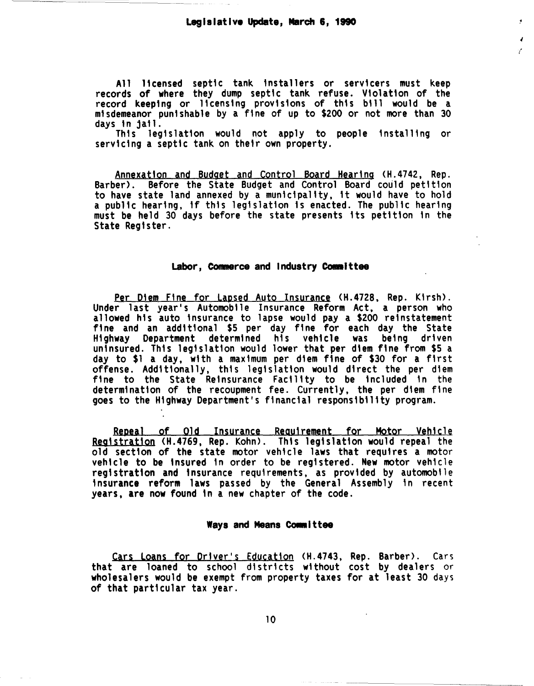$\lambda$ (

All 11censed septtc tank installers or servtcers must keep records of where they dump septtc tank refuse. Vtolatton of the record keeptng or licensing provisions of this b111 would be a misdemeanor punishable by a fine of up to \$200 or not more than 30 days in jail.

This legislation would not apply to people installing or servicing a septic tank on their own property.

Annexatton and Budget and Control Board Hearing <H.4742, Rep. Barber). Before the State Budget and Control Board could petttton to have state land annexed by a muntctpaltty, tt would have to hold a publtc heartng, tf thts legts1atton ts enacted. The publtc hearing must be held 30 days before the state presents tts petttton tn the State Regtster.

#### Labor, Commerce and Industry Committee

Per Diem Fine for Lapsed Auto Insurance (H.4728, Rep. Kirsh). Under last year's Automobile Insurance Reform Act, a person who allowed his auto insurance to lapse would pay a \$200 reinstatement ftne and an addtttonal \$5 per day ftne for each day the State Highway Department determined his vehicle was befog drtven uninsured. Thts legtslatton would lower that per dtem fine from \$5 a day to \$1 a day, with a maxtmum per dtem fine of \$30 for a first offense. Additionally, this legislation would direct the per diem fine to the State Reinsurance Facility to be included in the determination of the recoupment fee. Currently, the per diem fine goes to the Highway Department's financial responsibility program.

Repeal of Old Insurance Requirement for Hotor Vehicle Registration <H.4769, Rep. Kohn>. Thts legislation would repeal the old section of the state motor veh1cle laws that requires a motor vehicle to be tnsured in order to be registered. New motor vehtcle registration and insurance requirements, as provided by automobile insurance reform laws passed by the General Assembly in recent years, are now found tn a new chapter of the code.

#### Ways and Means Committee

Cars Loans for Driver's Education (H.4743, Rep. Barber). Cars that are loaned to school districts without cost by dealers or wholesalers would be exempt from property taxes for at least 30 days of that particular tax year.